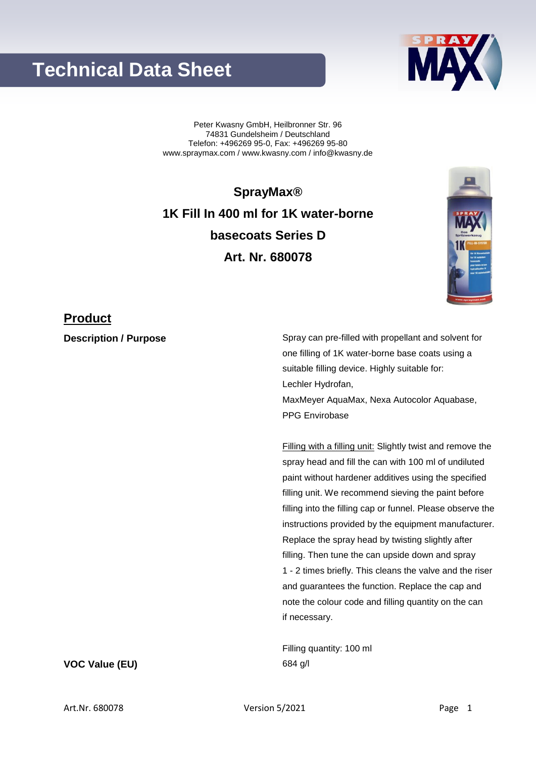## **Technical Data Sheet**

Peter Kwasny GmbH, Heilbronner Str. 96 74831 Gundelsheim / Deutschland Telefon: +496269 95-0, Fax: +496269 95-80 www.spraymax.com / www.kwasny.com / info@kwasny.de

**SprayMax® 1K Fill In 400 ml for 1K water-borne basecoats Series D Art. Nr. 680078**

### **Product**

**Description / Purpose** Spray can pre-filled with propellant and solvent for one filling of 1K water-borne base coats using a suitable filling device. Highly suitable for: Lechler Hydrofan, MaxMeyer AquaMax, Nexa Autocolor Aquabase, PPG Envirobase

> Filling with a filling unit: Slightly twist and remove the spray head and fill the can with 100 ml of undiluted paint without hardener additives using the specified filling unit. We recommend sieving the paint before filling into the filling cap or funnel. Please observe the instructions provided by the equipment manufacturer. Replace the spray head by twisting slightly after filling. Then tune the can upside down and spray 1 - 2 times briefly. This cleans the valve and the riser and guarantees the function. Replace the cap and note the colour code and filling quantity on the can if necessary.

Filling quantity: 100 ml **VOC Value (EU)** 684 g/l



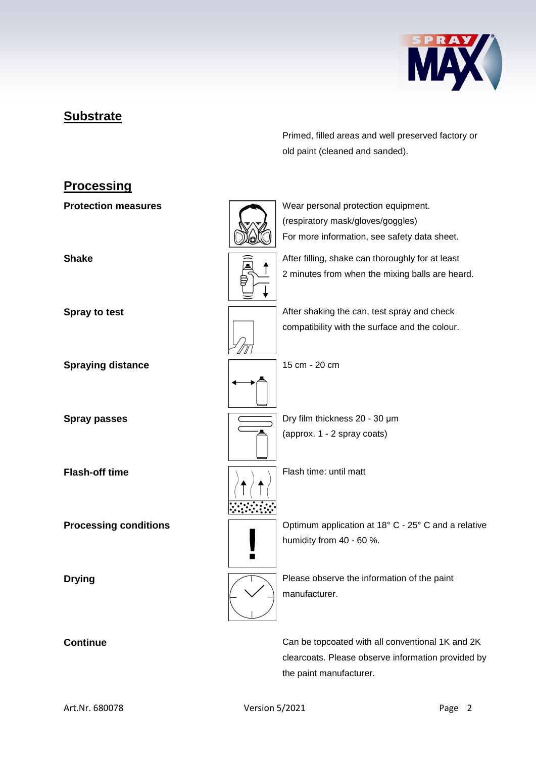

## **Substrate**

Primed, filled areas and well preserved factory or old paint (cleaned and sanded).

# **Processing Protection measures** Wear personal protection equipment. (respiratory mask/gloves/goggles) For more information, see safety data sheet. **Shake** After filling, shake can thoroughly for at least 2 minutes from when the mixing balls are heard. **Spray to test Spray to test** After shaking the can, test spray and check compatibility with the surface and the colour. **Spraying distance** 15 cm - 20 cm **Spray passes Dry film thickness 20 - 30 μm** (approx. 1 - 2 spray coats) **Flash-off time** Flash time: until matt **Processing conditions**  $\sqrt{2}$  Optimum application at 18° C - 25° C and a relative humidity from 40 - 60 %.  $\blacksquare$ **Drying Please observe the information of the paint** manufacturer. **Continue** Can be topcoated with all conventional 1K and 2K

clearcoats. Please observe information provided by the paint manufacturer.